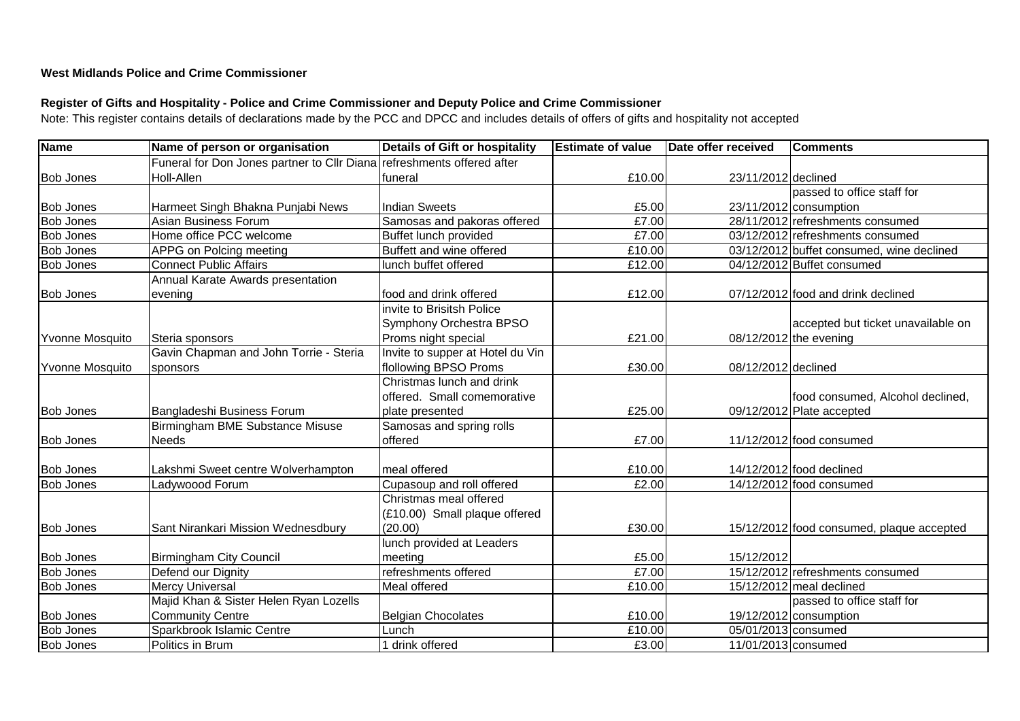## **West Midlands Police and Crime Commissioner**

## **Register of Gifts and Hospitality - Police and Crime Commissioner and Deputy Police and Crime Commissioner**

Note: This register contains details of declarations made by the PCC and DPCC and includes details of offers of gifts and hospitality not accepted

| <b>Name</b>            | Name of person or organisation                                         | Details of Gift or hospitality   | <b>Estimate of value</b> | Date offer received | <b>Comments</b>                           |
|------------------------|------------------------------------------------------------------------|----------------------------------|--------------------------|---------------------|-------------------------------------------|
|                        | Funeral for Don Jones partner to Cllr Diana refreshments offered after |                                  |                          |                     |                                           |
| <b>Bob Jones</b>       | Holl-Allen                                                             | funeral                          | £10.00                   | 23/11/2012 declined |                                           |
|                        |                                                                        |                                  |                          |                     | passed to office staff for                |
| <b>Bob Jones</b>       | Harmeet Singh Bhakna Punjabi News                                      | Indian Sweets                    | £5.00                    |                     | 23/11/2012 consumption                    |
| <b>Bob Jones</b>       | Asian Business Forum                                                   | Samosas and pakoras offered      | £7.00                    |                     | 28/11/2012 refreshments consumed          |
| <b>Bob Jones</b>       | Home office PCC welcome                                                | Buffet lunch provided            | £7.00                    |                     | 03/12/2012 refreshments consumed          |
| <b>Bob Jones</b>       | APPG on Polcing meeting                                                | Buffett and wine offered         | £10.00                   |                     | 03/12/2012 buffet consumed, wine declined |
| <b>Bob Jones</b>       | <b>Connect Public Affairs</b>                                          | lunch buffet offered             | £12.00                   |                     | 04/12/2012 Buffet consumed                |
|                        | Annual Karate Awards presentation                                      |                                  |                          |                     |                                           |
| <b>Bob Jones</b>       | evening                                                                | food and drink offered           | £12.00                   |                     | 07/12/2012 food and drink declined        |
|                        |                                                                        | Invite to Brisitsh Police        |                          |                     |                                           |
|                        |                                                                        | Symphony Orchestra BPSO          |                          |                     | accepted but ticket unavailable on        |
| Yvonne Mosquito        | Steria sponsors                                                        | Proms night special              | £21.00                   |                     | 08/12/2012 the evening                    |
|                        | Gavin Chapman and John Torrie - Steria                                 | Invite to supper at Hotel du Vin |                          |                     |                                           |
| <b>Yvonne Mosquito</b> | sponsors                                                               | flollowing BPSO Proms            | £30.00                   | 08/12/2012 declined |                                           |
|                        |                                                                        | Christmas lunch and drink        |                          |                     |                                           |
|                        |                                                                        | offered. Small comemorative      |                          |                     | food consumed, Alcohol declined,          |
| <b>Bob Jones</b>       | Bangladeshi Business Forum                                             | plate presented                  | £25.00                   |                     | 09/12/2012 Plate accepted                 |
|                        | Birmingham BME Substance Misuse                                        | Samosas and spring rolls         |                          |                     |                                           |
| <b>Bob Jones</b>       | <b>Needs</b>                                                           | offered                          | £7.00                    |                     | 11/12/2012 food consumed                  |
|                        |                                                                        |                                  |                          |                     |                                           |
| <b>Bob Jones</b>       | Lakshmi Sweet centre Wolverhampton                                     | meal offered                     | £10.00                   |                     | 14/12/2012 food declined                  |
| <b>Bob Jones</b>       | Ladywoood Forum                                                        | Cupasoup and roll offered        | £2.00                    |                     | $14/12/2012$ food consumed                |
|                        |                                                                        | Christmas meal offered           |                          |                     |                                           |
|                        |                                                                        | (£10.00) Small plaque offered    |                          |                     |                                           |
| <b>Bob Jones</b>       | Sant Nirankari Mission Wednesdbury                                     | (20.00)                          | £30.00                   |                     | 15/12/2012 food consumed, plaque accepted |
|                        |                                                                        | lunch provided at Leaders        |                          |                     |                                           |
| <b>Bob Jones</b>       | <b>Birmingham City Council</b>                                         | meeting                          | £5.00                    | 15/12/2012          |                                           |
| <b>Bob Jones</b>       | Defend our Dignity                                                     | refreshments offered             | £7.00                    |                     | 15/12/2012 refreshments consumed          |
| <b>Bob Jones</b>       | <b>Mercy Universal</b>                                                 | Meal offered                     | £10.00                   |                     | 15/12/2012 meal declined                  |
|                        | Majid Khan & Sister Helen Ryan Lozells                                 |                                  |                          |                     | passed to office staff for                |
| <b>Bob Jones</b>       | <b>Community Centre</b>                                                | Belgian Chocolates               | £10.00                   |                     | 19/12/2012 consumption                    |
| <b>Bob Jones</b>       | Sparkbrook Islamic Centre                                              | Lunch                            | £10.00                   | 05/01/2013 consumed |                                           |
| <b>Bob Jones</b>       | Politics in Brum                                                       | 1 drink offered                  | £3.00                    | 11/01/2013 consumed |                                           |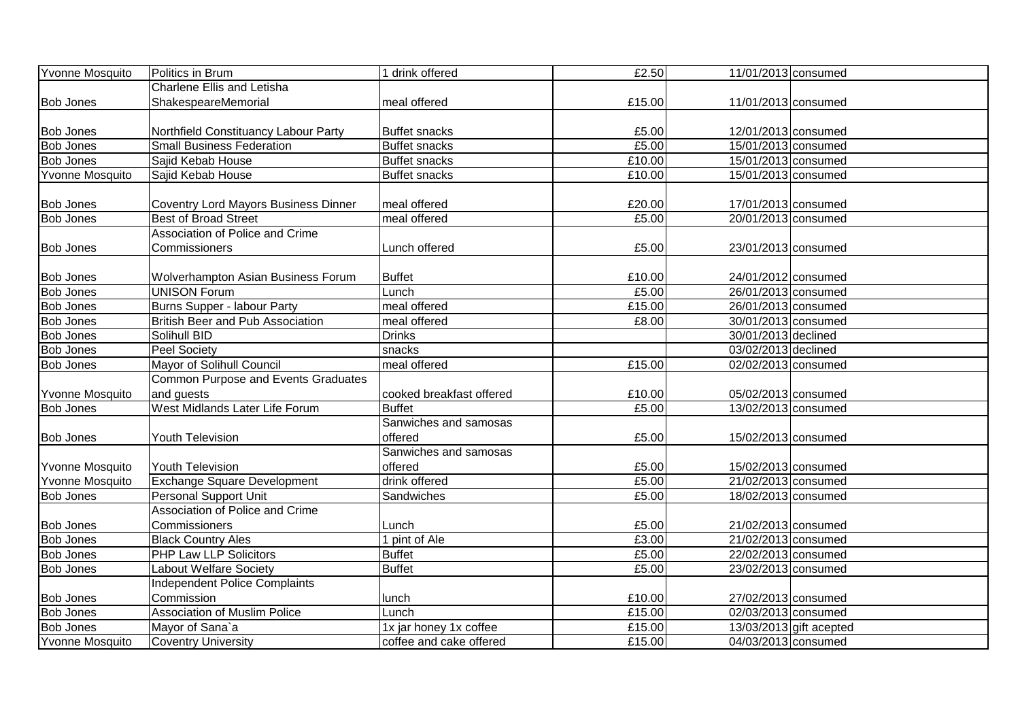| Yvonne Mosquito        | Politics in Brum                            | 1 drink offered          | £2.50  | 11/01/2013 consumed |                           |
|------------------------|---------------------------------------------|--------------------------|--------|---------------------|---------------------------|
|                        | <b>Charlene Ellis and Letisha</b>           |                          |        |                     |                           |
| <b>Bob Jones</b>       | ShakespeareMemorial                         | meal offered             | £15.00 | 11/01/2013 consumed |                           |
|                        |                                             |                          |        |                     |                           |
| <b>Bob Jones</b>       | Northfield Constituancy Labour Party        | <b>Buffet snacks</b>     | £5.00  | 12/01/2013 consumed |                           |
| <b>Bob Jones</b>       | <b>Small Business Federation</b>            | <b>Buffet snacks</b>     | £5.00  | 15/01/2013 consumed |                           |
| <b>Bob Jones</b>       | Sajid Kebab House                           | <b>Buffet snacks</b>     | £10.00 | 15/01/2013 consumed |                           |
| <b>Yvonne Mosquito</b> | Sajid Kebab House                           | <b>Buffet snacks</b>     | £10.00 | 15/01/2013 consumed |                           |
|                        |                                             |                          |        |                     |                           |
| <b>Bob Jones</b>       | <b>Coventry Lord Mayors Business Dinner</b> | meal offered             | £20.00 | 17/01/2013 consumed |                           |
| <b>Bob Jones</b>       | <b>Best of Broad Street</b>                 | meal offered             | £5.00  | 20/01/2013 consumed |                           |
|                        | Association of Police and Crime             |                          |        |                     |                           |
| <b>Bob Jones</b>       | <b>Commissioners</b>                        | Lunch offered            | £5.00  | 23/01/2013 consumed |                           |
|                        |                                             |                          |        |                     |                           |
| <b>Bob Jones</b>       | Wolverhampton Asian Business Forum          | <b>Buffet</b>            | £10.00 | 24/01/2012 consumed |                           |
| <b>Bob Jones</b>       | <b>UNISON Forum</b>                         | Lunch                    | £5.00  | 26/01/2013 consumed |                           |
| <b>Bob Jones</b>       | Burns Supper - labour Party                 | meal offered             | £15.00 | 26/01/2013 consumed |                           |
| <b>Bob Jones</b>       | <b>British Beer and Pub Association</b>     | meal offered             | £8.00  | 30/01/2013 consumed |                           |
| <b>Bob Jones</b>       | Solihull BID                                | <b>Drinks</b>            |        | 30/01/2013 declined |                           |
| <b>Bob Jones</b>       | <b>Peel Society</b>                         | snacks                   |        | 03/02/2013 declined |                           |
| <b>Bob Jones</b>       | Mayor of Solihull Council                   | meal offered             | £15.00 | 02/02/2013 consumed |                           |
|                        | Common Purpose and Events Graduates         |                          |        |                     |                           |
| Yvonne Mosquito        | and guests                                  | cooked breakfast offered | £10.00 | 05/02/2013 consumed |                           |
| <b>Bob Jones</b>       | West Midlands Later Life Forum              | <b>Buffet</b>            | £5.00  | 13/02/2013 consumed |                           |
|                        |                                             | Sanwiches and samosas    |        |                     |                           |
| <b>Bob Jones</b>       | <b>Youth Television</b>                     | offered                  | £5.00  | 15/02/2013 consumed |                           |
|                        |                                             | Sanwiches and samosas    |        |                     |                           |
| Yvonne Mosquito        | <b>Youth Television</b>                     | offered                  | £5.00  | 15/02/2013 consumed |                           |
| Yvonne Mosquito        | <b>Exchange Square Development</b>          | drink offered            | £5.00  | 21/02/2013 consumed |                           |
| <b>Bob Jones</b>       | Personal Support Unit                       | Sandwiches               | £5.00  | 18/02/2013 consumed |                           |
|                        | Association of Police and Crime             |                          |        |                     |                           |
| <b>Bob Jones</b>       | Commissioners                               | Lunch                    | £5.00  | 21/02/2013 consumed |                           |
| <b>Bob Jones</b>       | <b>Black Country Ales</b>                   | 1 pint of Ale            | £3.00  | 21/02/2013 consumed |                           |
| <b>Bob Jones</b>       | <b>PHP Law LLP Solicitors</b>               | <b>Buffet</b>            | £5.00  | 22/02/2013 consumed |                           |
| <b>Bob Jones</b>       | Labout Welfare Society                      | <b>Buffet</b>            | £5.00  | 23/02/2013 consumed |                           |
|                        | <b>Independent Police Complaints</b>        |                          |        |                     |                           |
| <b>Bob Jones</b>       | Commission                                  | lunch                    | £10.00 | 27/02/2013 consumed |                           |
| <b>Bob Jones</b>       | <b>Association of Muslim Police</b>         | Lunch                    | £15.00 | 02/03/2013 consumed |                           |
| <b>Bob Jones</b>       | Mayor of Sana`a                             | 1x jar honey 1x coffee   | £15.00 |                     | $13/03/2013$ gift acepted |
| Yvonne Mosquito        | Coventry University                         | coffee and cake offered  | £15.00 | 04/03/2013 consumed |                           |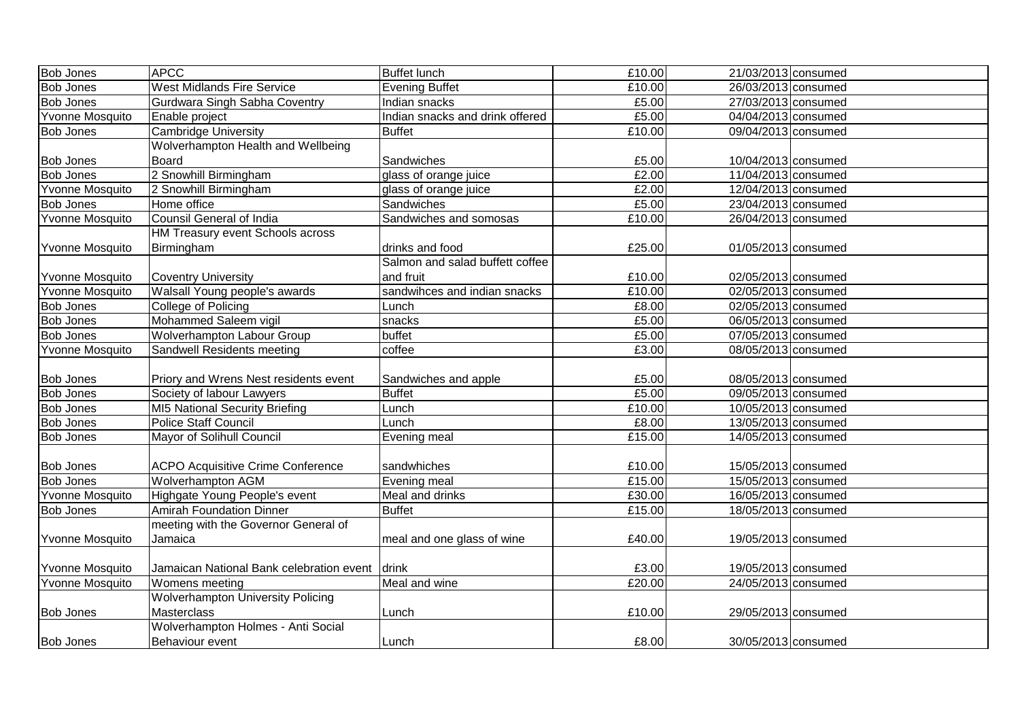|                        |                                                |                                 |        | 21/03/2013 consumed |  |
|------------------------|------------------------------------------------|---------------------------------|--------|---------------------|--|
| <b>Bob Jones</b>       | <b>APCC</b>                                    | <b>Buffet lunch</b>             | £10.00 |                     |  |
| <b>Bob Jones</b>       | <b>West Midlands Fire Service</b>              | <b>Evening Buffet</b>           | £10.00 | 26/03/2013 consumed |  |
| <b>Bob Jones</b>       | Gurdwara Singh Sabha Coventry                  | Indian snacks                   | £5.00  | 27/03/2013 consumed |  |
| Yvonne Mosquito        | Enable project                                 | Indian snacks and drink offered | £5.00  | 04/04/2013 consumed |  |
| <b>Bob Jones</b>       | <b>Cambridge University</b>                    | <b>Buffet</b>                   | £10.00 | 09/04/2013 consumed |  |
|                        | Wolverhampton Health and Wellbeing             |                                 |        |                     |  |
| <b>Bob Jones</b>       | <b>Board</b>                                   | Sandwiches                      | £5.00  | 10/04/2013 consumed |  |
| <b>Bob Jones</b>       | 2 Snowhill Birmingham                          | glass of orange juice           | £2.00  | 11/04/2013 consumed |  |
| Yvonne Mosquito        | 2 Snowhill Birmingham                          | glass of orange juice           | £2.00  | 12/04/2013 consumed |  |
| <b>Bob Jones</b>       | Home office                                    | Sandwiches                      | £5.00  | 23/04/2013 consumed |  |
| Yvonne Mosquito        | <b>Counsil General of India</b>                | Sandwiches and somosas          | £10.00 | 26/04/2013 consumed |  |
|                        | HM Treasury event Schools across               |                                 |        |                     |  |
| Yvonne Mosquito        | Birmingham                                     | drinks and food                 | £25.00 | 01/05/2013 consumed |  |
|                        |                                                | Salmon and salad buffett coffee |        |                     |  |
| Yvonne Mosquito        | <b>Coventry University</b>                     | and fruit                       | £10.00 | 02/05/2013 consumed |  |
| Yvonne Mosquito        | Walsall Young people's awards                  | sandwihces and indian snacks    | £10.00 | 02/05/2013 consumed |  |
| <b>Bob Jones</b>       | College of Policing                            | Lunch                           | £8.00  | 02/05/2013 consumed |  |
| <b>Bob Jones</b>       | Mohammed Saleem vigil                          | snacks                          | £5.00  | 06/05/2013 consumed |  |
| <b>Bob Jones</b>       | <b>Wolverhampton Labour Group</b>              | buffet                          | £5.00  | 07/05/2013 consumed |  |
| Yvonne Mosquito        | Sandwell Residents meeting                     | coffee                          | £3.00  | 08/05/2013 consumed |  |
|                        |                                                |                                 |        |                     |  |
| <b>Bob Jones</b>       | Priory and Wrens Nest residents event          | Sandwiches and apple            | £5.00  | 08/05/2013 consumed |  |
| <b>Bob Jones</b>       | Society of labour Lawyers                      | <b>Buffet</b>                   | £5.00  | 09/05/2013 consumed |  |
| <b>Bob Jones</b>       | MI5 National Security Briefing                 | Lunch                           | £10.00 | 10/05/2013 consumed |  |
| <b>Bob Jones</b>       | <b>Police Staff Council</b>                    | Lunch                           | £8.00  | 13/05/2013 consumed |  |
| <b>Bob Jones</b>       | Mayor of Solihull Council                      | Evening meal                    | £15.00 | 14/05/2013 consumed |  |
|                        |                                                |                                 |        |                     |  |
| <b>Bob Jones</b>       | <b>ACPO Acquisitive Crime Conference</b>       | sandwhiches                     | £10.00 | 15/05/2013 consumed |  |
| <b>Bob Jones</b>       | <b>Wolverhampton AGM</b>                       | Evening meal                    | £15.00 | 15/05/2013 consumed |  |
| <b>Yvonne Mosquito</b> | Highgate Young People's event                  | Meal and drinks                 | £30.00 | 16/05/2013 consumed |  |
| <b>Bob Jones</b>       | <b>Amirah Foundation Dinner</b>                | <b>Buffet</b>                   | £15.00 | 18/05/2013 consumed |  |
|                        | meeting with the Governor General of           |                                 |        |                     |  |
| Yvonne Mosquito        | Jamaica                                        | meal and one glass of wine      | £40.00 | 19/05/2013 consumed |  |
|                        |                                                |                                 |        |                     |  |
| <b>Yvonne Mosquito</b> | Jamaican National Bank celebration event drink |                                 | £3.00  | 19/05/2013 consumed |  |
| Yvonne Mosquito        | <b>Womens meeting</b>                          | Meal and wine                   | £20.00 | 24/05/2013 consumed |  |
|                        | <b>Wolverhampton University Policing</b>       |                                 |        |                     |  |
| <b>Bob Jones</b>       | Masterclass                                    | Lunch                           | £10.00 | 29/05/2013 consumed |  |
|                        | Wolverhampton Holmes - Anti Social             |                                 |        |                     |  |
| <b>Bob Jones</b>       | Behaviour event                                | Lunch                           | £8.00  | 30/05/2013 consumed |  |
|                        |                                                |                                 |        |                     |  |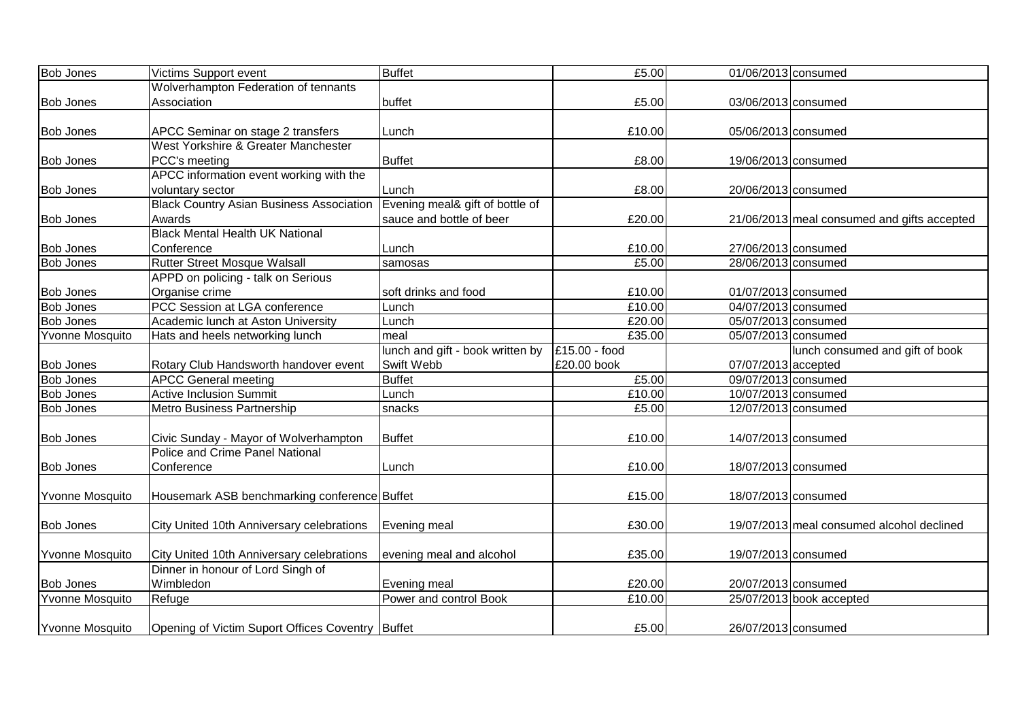| <b>Bob Jones</b>       | Victims Support event                            | <b>Buffet</b>                    | £5.00         | 01/06/2013 consumed |                                             |
|------------------------|--------------------------------------------------|----------------------------------|---------------|---------------------|---------------------------------------------|
|                        | Wolverhampton Federation of tennants             |                                  |               |                     |                                             |
| <b>Bob Jones</b>       | Association                                      | buffet                           | £5.00         | 03/06/2013 consumed |                                             |
|                        |                                                  |                                  |               |                     |                                             |
| <b>Bob Jones</b>       | APCC Seminar on stage 2 transfers                | Lunch                            | £10.00        | 05/06/2013 consumed |                                             |
|                        | West Yorkshire & Greater Manchester              |                                  |               |                     |                                             |
| <b>Bob Jones</b>       | PCC's meeting                                    | <b>Buffet</b>                    | £8.00         | 19/06/2013 consumed |                                             |
|                        | APCC information event working with the          |                                  |               |                     |                                             |
| <b>Bob Jones</b>       | voluntary sector                                 | Lunch                            | £8.00         | 20/06/2013 consumed |                                             |
|                        | <b>Black Country Asian Business Association</b>  | Evening meal& gift of bottle of  |               |                     |                                             |
| <b>Bob Jones</b>       | Awards                                           | sauce and bottle of beer         | £20.00        |                     | 21/06/2013 meal consumed and gifts accepted |
|                        | <b>Black Mental Health UK National</b>           |                                  |               |                     |                                             |
| <b>Bob Jones</b>       | Conference                                       | Lunch                            | £10.00        | 27/06/2013 consumed |                                             |
| <b>Bob Jones</b>       | <b>Rutter Street Mosque Walsall</b>              | samosas                          | £5.00         | 28/06/2013 consumed |                                             |
|                        | APPD on policing - talk on Serious               |                                  |               |                     |                                             |
| <b>Bob Jones</b>       | Organise crime                                   | soft drinks and food             | £10.00        | 01/07/2013 consumed |                                             |
| <b>Bob Jones</b>       | PCC Session at LGA conference                    | Lunch                            | £10.00        | 04/07/2013 consumed |                                             |
| <b>Bob Jones</b>       | Academic lunch at Aston University               | Lunch                            | £20.00        | 05/07/2013 consumed |                                             |
| Yvonne Mosquito        | Hats and heels networking lunch                  | meal                             | £35.00        | 05/07/2013 consumed |                                             |
|                        |                                                  | lunch and gift - book written by | £15.00 - food |                     | lunch consumed and gift of book             |
| <b>Bob Jones</b>       | Rotary Club Handsworth handover event            | Swift Webb                       | £20.00 book   | 07/07/2013 accepted |                                             |
| <b>Bob Jones</b>       | <b>APCC General meeting</b>                      | <b>Buffet</b>                    | £5.00         | 09/07/2013 consumed |                                             |
| <b>Bob Jones</b>       | <b>Active Inclusion Summit</b>                   | Lunch                            | £10.00        | 10/07/2013 consumed |                                             |
| <b>Bob Jones</b>       | Metro Business Partnership                       | snacks                           | £5.00         | 12/07/2013 consumed |                                             |
|                        |                                                  |                                  |               |                     |                                             |
| <b>Bob Jones</b>       | Civic Sunday - Mayor of Wolverhampton            | <b>Buffet</b>                    | £10.00        | 14/07/2013 consumed |                                             |
|                        | Police and Crime Panel National                  |                                  |               |                     |                                             |
| <b>Bob Jones</b>       | Conference                                       | Lunch                            | £10.00        | 18/07/2013 consumed |                                             |
|                        |                                                  |                                  |               |                     |                                             |
| <b>Yvonne Mosquito</b> | Housemark ASB benchmarking conference Buffet     |                                  | £15.00        | 18/07/2013 consumed |                                             |
|                        |                                                  |                                  |               |                     |                                             |
| <b>Bob Jones</b>       | City United 10th Anniversary celebrations        | Evening meal                     | £30.00        |                     | 19/07/2013 meal consumed alcohol declined   |
|                        |                                                  |                                  |               |                     |                                             |
| Yvonne Mosquito        | City United 10th Anniversary celebrations        | evening meal and alcohol         | £35.00        | 19/07/2013 consumed |                                             |
|                        | Dinner in honour of Lord Singh of                |                                  |               |                     |                                             |
| <b>Bob Jones</b>       | Wimbledon                                        | Evening meal                     | £20.00        | 20/07/2013 consumed |                                             |
| Yvonne Mosquito        | Refuge                                           | Power and control Book           | £10.00        |                     | 25/07/2013 book accepted                    |
|                        |                                                  |                                  |               |                     |                                             |
| Yvonne Mosquito        | Opening of Victim Suport Offices Coventry Buffet |                                  | £5.00         | 26/07/2013 consumed |                                             |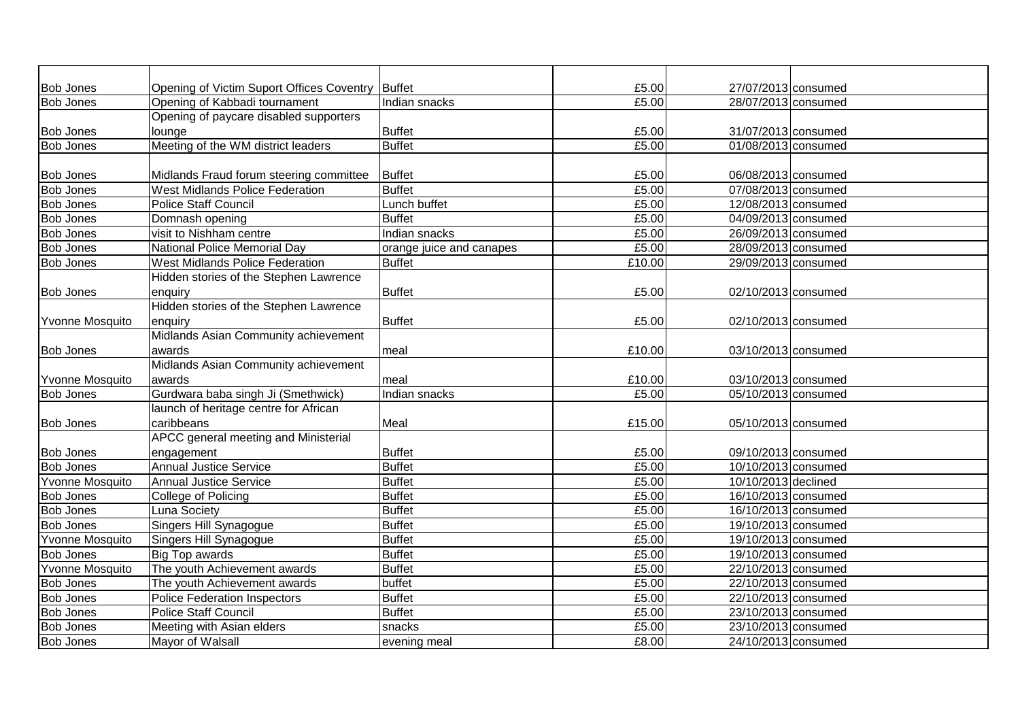| <b>Bob Jones</b> | Opening of Victim Suport Offices Coventry Buffet |                          | £5.00  | 27/07/2013 consumed |  |
|------------------|--------------------------------------------------|--------------------------|--------|---------------------|--|
| <b>Bob Jones</b> | Opening of Kabbadi tournament                    | Indian snacks            | £5.00  | 28/07/2013 consumed |  |
|                  | Opening of paycare disabled supporters           |                          |        |                     |  |
| <b>Bob Jones</b> | lounge                                           | <b>Buffet</b>            | £5.00  | 31/07/2013 consumed |  |
| <b>Bob Jones</b> | Meeting of the WM district leaders               | <b>Buffet</b>            | £5.00  | 01/08/2013 consumed |  |
|                  |                                                  |                          |        |                     |  |
| <b>Bob Jones</b> | Midlands Fraud forum steering committee          | Buffet                   | £5.00  | 06/08/2013 consumed |  |
| <b>Bob Jones</b> | <b>West Midlands Police Federation</b>           | <b>Buffet</b>            | £5.00  | 07/08/2013 consumed |  |
| <b>Bob Jones</b> | <b>Police Staff Council</b>                      | Lunch buffet             | £5.00  | 12/08/2013 consumed |  |
| <b>Bob Jones</b> | Domnash opening                                  | <b>Buffet</b>            | £5.00  | 04/09/2013 consumed |  |
| <b>Bob Jones</b> | visit to Nishham centre                          | Indian snacks            | £5.00  | 26/09/2013 consumed |  |
| <b>Bob Jones</b> | National Police Memorial Day                     | orange juice and canapes | £5.00  | 28/09/2013 consumed |  |
| <b>Bob Jones</b> | <b>West Midlands Police Federation</b>           | <b>Buffet</b>            | £10.00 | 29/09/2013 consumed |  |
|                  | Hidden stories of the Stephen Lawrence           |                          |        |                     |  |
| <b>Bob Jones</b> | enquiry                                          | <b>Buffet</b>            | £5.00  | 02/10/2013 consumed |  |
|                  | Hidden stories of the Stephen Lawrence           |                          |        |                     |  |
| Yvonne Mosquito  | enquiry                                          | <b>Buffet</b>            | £5.00  | 02/10/2013 consumed |  |
|                  | Midlands Asian Community achievement             |                          |        |                     |  |
| <b>Bob Jones</b> | awards                                           | meal                     | £10.00 | 03/10/2013 consumed |  |
|                  | Midlands Asian Community achievement             |                          |        |                     |  |
| Yvonne Mosquito  | awards                                           | meal                     | £10.00 | 03/10/2013 consumed |  |
| <b>Bob Jones</b> | Gurdwara baba singh Ji (Smethwick)               | Indian snacks            | £5.00  | 05/10/2013 consumed |  |
|                  | launch of heritage centre for African            |                          |        |                     |  |
| <b>Bob Jones</b> | caribbeans                                       | Meal                     | £15.00 | 05/10/2013 consumed |  |
|                  | APCC general meeting and Ministerial             |                          |        |                     |  |
| <b>Bob Jones</b> | engagement                                       | <b>Buffet</b>            | £5.00  | 09/10/2013 consumed |  |
| <b>Bob Jones</b> | <b>Annual Justice Service</b>                    | <b>Buffet</b>            | £5.00  | 10/10/2013 consumed |  |
| Yvonne Mosquito  | <b>Annual Justice Service</b>                    | <b>Buffet</b>            | £5.00  | 10/10/2013 declined |  |
| <b>Bob Jones</b> | College of Policing                              | <b>Buffet</b>            | £5.00  | 16/10/2013 consumed |  |
| <b>Bob Jones</b> | Luna Society                                     | <b>Buffet</b>            | £5.00  | 16/10/2013 consumed |  |
| <b>Bob Jones</b> | Singers Hill Synagogue                           | <b>Buffet</b>            | £5.00  | 19/10/2013 consumed |  |
| Yvonne Mosquito  | Singers Hill Synagogue                           | <b>Buffet</b>            | £5.00  | 19/10/2013 consumed |  |
| <b>Bob Jones</b> | Big Top awards                                   | <b>Buffet</b>            | £5.00  | 19/10/2013 consumed |  |
| Yvonne Mosquito  | The youth Achievement awards                     | <b>Buffet</b>            | £5.00  | 22/10/2013 consumed |  |
| <b>Bob Jones</b> | The youth Achievement awards                     | buffet                   | £5.00  | 22/10/2013 consumed |  |
| <b>Bob Jones</b> | <b>Police Federation Inspectors</b>              | <b>Buffet</b>            | £5.00  | 22/10/2013 consumed |  |
| <b>Bob Jones</b> | <b>Police Staff Council</b>                      | <b>Buffet</b>            | £5.00  | 23/10/2013 consumed |  |
| <b>Bob Jones</b> | Meeting with Asian elders                        | snacks                   | £5.00  | 23/10/2013 consumed |  |
| <b>Bob Jones</b> | Mayor of Walsall                                 | evening meal             | £8.00  | 24/10/2013 consumed |  |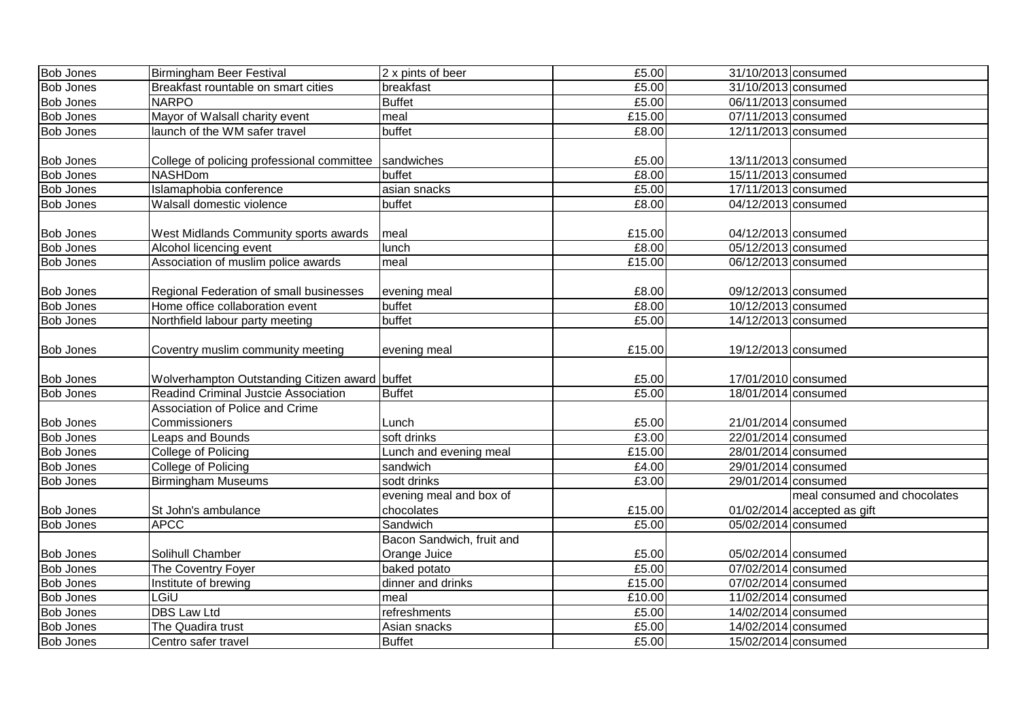| <b>Bob Jones</b> | <b>Birmingham Beer Festival</b>                       | 2 x pints of beer         | £5.00  | 31/10/2013 consumed |                               |
|------------------|-------------------------------------------------------|---------------------------|--------|---------------------|-------------------------------|
| <b>Bob Jones</b> | Breakfast rountable on smart cities                   | breakfast                 | £5.00  | 31/10/2013 consumed |                               |
| <b>Bob Jones</b> | <b>NARPO</b>                                          | <b>Buffet</b>             | £5.00  | 06/11/2013 consumed |                               |
| <b>Bob Jones</b> | Mayor of Walsall charity event                        | meal                      | £15.00 | 07/11/2013 consumed |                               |
| <b>Bob Jones</b> | launch of the WM safer travel                         | buffet                    | £8.00  | 12/11/2013 consumed |                               |
|                  |                                                       |                           |        |                     |                               |
| <b>Bob Jones</b> | College of policing professional committee Sandwiches |                           | £5.00  | 13/11/2013 consumed |                               |
| <b>Bob Jones</b> | <b>NASHDom</b>                                        | buffet                    | £8.00  | 15/11/2013 consumed |                               |
| <b>Bob Jones</b> | Islamaphobia conference                               | asian snacks              | £5.00  | 17/11/2013 consumed |                               |
| <b>Bob Jones</b> | Walsall domestic violence                             | buffet                    | £8.00  | 04/12/2013 consumed |                               |
|                  |                                                       |                           |        |                     |                               |
| <b>Bob Jones</b> | <b>West Midlands Community sports awards</b>          | meal                      | £15.00 | 04/12/2013 consumed |                               |
| <b>Bob Jones</b> | Alcohol licencing event                               | lunch                     | £8.00  | 05/12/2013 consumed |                               |
| <b>Bob Jones</b> | Association of muslim police awards                   | meal                      | £15.00 | 06/12/2013 consumed |                               |
|                  |                                                       |                           |        |                     |                               |
| <b>Bob Jones</b> | Regional Federation of small businesses               | evening meal              | £8.00  | 09/12/2013 consumed |                               |
| <b>Bob Jones</b> | Home office collaboration event                       | buffet                    | £8.00  | 10/12/2013 consumed |                               |
| <b>Bob Jones</b> | Northfield labour party meeting                       | buffet                    | £5.00  | 14/12/2013 consumed |                               |
|                  |                                                       |                           |        |                     |                               |
| <b>Bob Jones</b> | Coventry muslim community meeting                     | evening meal              | £15.00 | 19/12/2013 consumed |                               |
|                  |                                                       |                           |        |                     |                               |
| <b>Bob Jones</b> | Wolverhampton Outstanding Citizen award buffet        |                           | £5.00  | 17/01/2010 consumed |                               |
| <b>Bob Jones</b> | <b>Readind Criminal Justcie Association</b>           | <b>Buffet</b>             | £5.00  | 18/01/2014 consumed |                               |
|                  | Association of Police and Crime                       |                           |        |                     |                               |
| <b>Bob Jones</b> | <b>Commissioners</b>                                  | Lunch                     | £5.00  | 21/01/2014 consumed |                               |
| <b>Bob Jones</b> | <b>Leaps and Bounds</b>                               | soft drinks               | £3.00  | 22/01/2014 consumed |                               |
| <b>Bob Jones</b> | College of Policing                                   | Lunch and evening meal    | £15.00 | 28/01/2014 consumed |                               |
| <b>Bob Jones</b> | College of Policing                                   | sandwich                  | £4.00  | 29/01/2014 consumed |                               |
| <b>Bob Jones</b> | <b>Birmingham Museums</b>                             | sodt drinks               | £3.00  | 29/01/2014 consumed |                               |
|                  |                                                       | evening meal and box of   |        |                     | meal consumed and chocolates  |
| <b>Bob Jones</b> | St John's ambulance                                   | chocolates                | £15.00 |                     | $01/02/2014$ accepted as gift |
| <b>Bob Jones</b> | <b>APCC</b>                                           | Sandwich                  | £5.00  | 05/02/2014 consumed |                               |
|                  |                                                       | Bacon Sandwich, fruit and |        |                     |                               |
| <b>Bob Jones</b> | Solihull Chamber                                      | Orange Juice              | £5.00  | 05/02/2014 consumed |                               |
| <b>Bob Jones</b> | The Coventry Foyer                                    | baked potato              | £5.00  | 07/02/2014 consumed |                               |
| <b>Bob Jones</b> | Institute of brewing                                  | dinner and drinks         | £15.00 | 07/02/2014 consumed |                               |
| <b>Bob Jones</b> | LGiU                                                  | meal                      | £10.00 | 11/02/2014 consumed |                               |
| <b>Bob Jones</b> | DBS Law Ltd                                           | refreshments              | £5.00  | 14/02/2014 consumed |                               |
| <b>Bob Jones</b> | The Quadira trust                                     | Asian snacks              | £5.00  | 14/02/2014 consumed |                               |
| <b>Bob Jones</b> | Centro safer travel                                   | <b>Buffet</b>             | £5.00  | 15/02/2014 consumed |                               |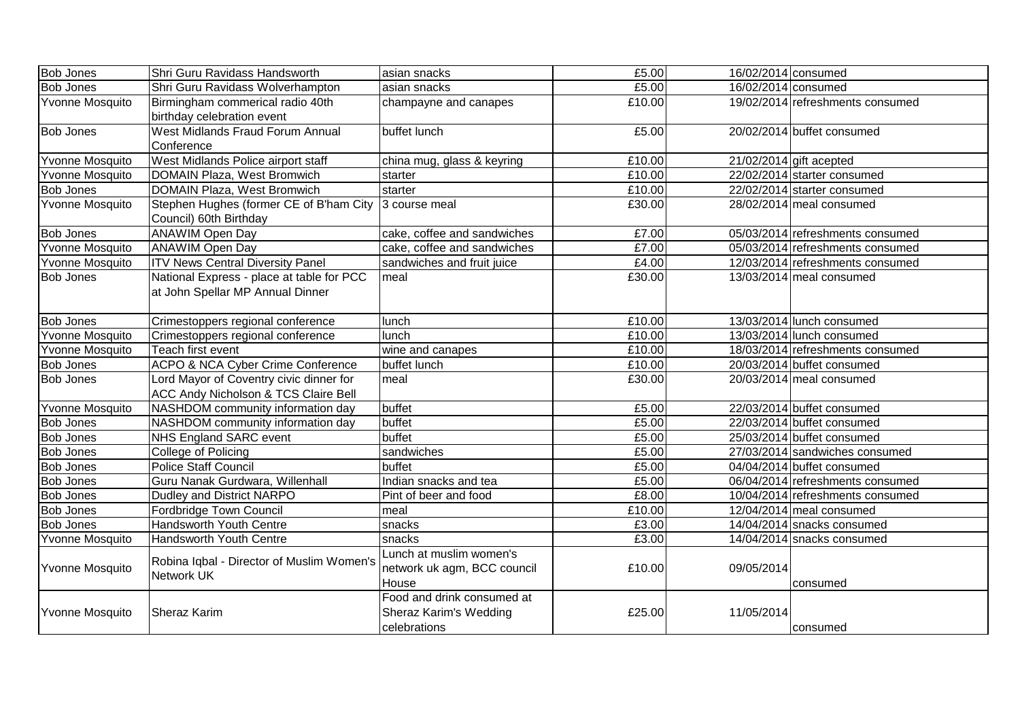| <b>Bob Jones</b>       | Shri Guru Ravidass Handsworth                   | asian snacks                | £5.00  | 16/02/2014 consumed |                                  |
|------------------------|-------------------------------------------------|-----------------------------|--------|---------------------|----------------------------------|
| <b>Bob Jones</b>       | Shri Guru Ravidass Wolverhampton                | asian snacks                | £5.00  | 16/02/2014 consumed |                                  |
| Yvonne Mosquito        | Birmingham commerical radio 40th                | champayne and canapes       | £10.00 |                     | 19/02/2014 refreshments consumed |
|                        | birthday celebration event                      |                             |        |                     |                                  |
| <b>Bob Jones</b>       | <b>West Midlands Fraud Forum Annual</b>         | buffet lunch                | £5.00  |                     | 20/02/2014 buffet consumed       |
|                        | Conference                                      |                             |        |                     |                                  |
| <b>Yvonne Mosquito</b> | West Midlands Police airport staff              | china mug, glass & keyring  | £10.00 |                     | $21/02/2014$ gift acepted        |
| <b>Yvonne Mosquito</b> | DOMAIN Plaza, West Bromwich                     | starter                     | £10.00 |                     | 22/02/2014 starter consumed      |
| <b>Bob Jones</b>       | DOMAIN Plaza, West Bromwich                     | starter                     | £10.00 |                     | 22/02/2014 starter consumed      |
| Yvonne Mosquito        | Stephen Hughes (former CE of B'ham City         | 3 course meal               | £30.00 |                     | $28/02/2014$ meal consumed       |
|                        | Council) 60th Birthday                          |                             |        |                     |                                  |
| <b>Bob Jones</b>       | <b>ANAWIM Open Day</b>                          | cake, coffee and sandwiches | £7.00  |                     | 05/03/2014 refreshments consumed |
| <b>Yvonne Mosquito</b> | <b>ANAWIM Open Day</b>                          | cake, coffee and sandwiches | £7.00  |                     | 05/03/2014 refreshments consumed |
| <b>Yvonne Mosquito</b> | <b>ITV News Central Diversity Panel</b>         | sandwiches and fruit juice  | £4.00  |                     | 12/03/2014 refreshments consumed |
| <b>Bob Jones</b>       | National Express - place at table for PCC       | meal                        | £30.00 |                     | $13/03/2014$ meal consumed       |
|                        | at John Spellar MP Annual Dinner                |                             |        |                     |                                  |
|                        |                                                 |                             |        |                     |                                  |
| <b>Bob Jones</b>       | Crimestoppers regional conference               | lunch                       | £10.00 |                     | 13/03/2014 lunch consumed        |
| <b>Yvonne Mosquito</b> | Crimestoppers regional conference               | lunch                       | £10.00 |                     | 13/03/2014 lunch consumed        |
| Yvonne Mosquito        | Teach first event                               | wine and canapes            | £10.00 |                     | 18/03/2014 refreshments consumed |
| <b>Bob Jones</b>       | ACPO & NCA Cyber Crime Conference               | buffet lunch                | £10.00 |                     | 20/03/2014 buffet consumed       |
| <b>Bob Jones</b>       | Lord Mayor of Coventry civic dinner for         | meal                        | £30.00 |                     | $20/03/2014$ meal consumed       |
|                        | <b>ACC Andy Nicholson &amp; TCS Claire Bell</b> |                             |        |                     |                                  |
| Yvonne Mosquito        | NASHDOM community information day               | buffet                      | £5.00  |                     | 22/03/2014 buffet consumed       |
| <b>Bob Jones</b>       | NASHDOM community information day               | buffet                      | £5.00  |                     | 22/03/2014 buffet consumed       |
| <b>Bob Jones</b>       | <b>NHS England SARC event</b>                   | buffet                      | £5.00  |                     | 25/03/2014 buffet consumed       |
| <b>Bob Jones</b>       | College of Policing                             | sandwiches                  | £5.00  |                     | 27/03/2014 sandwiches consumed   |
| <b>Bob Jones</b>       | <b>Police Staff Council</b>                     | buffet                      | £5.00  |                     | 04/04/2014 buffet consumed       |
| <b>Bob Jones</b>       | Guru Nanak Gurdwara, Willenhall                 | Indian snacks and tea       | £5.00  |                     | 06/04/2014 refreshments consumed |
| <b>Bob Jones</b>       | <b>Dudley and District NARPO</b>                | Pint of beer and food       | £8.00  |                     | 10/04/2014 refreshments consumed |
| <b>Bob Jones</b>       | Fordbridge Town Council                         | meal                        | £10.00 |                     | $12/04/2014$ meal consumed       |
| <b>Bob Jones</b>       | <b>Handsworth Youth Centre</b>                  | snacks                      | £3.00  |                     | 14/04/2014 snacks consumed       |
| Yvonne Mosquito        | Handsworth Youth Centre                         | snacks                      | £3.00  |                     | 14/04/2014 snacks consumed       |
|                        |                                                 | Lunch at muslim women's     |        |                     |                                  |
| <b>Yvonne Mosquito</b> | Robina Iqbal - Director of Muslim Women's       | network uk agm, BCC council | £10.00 | 09/05/2014          |                                  |
|                        | Network UK                                      | House                       |        |                     | consumed                         |
|                        |                                                 | Food and drink consumed at  |        |                     |                                  |
| Yvonne Mosquito        | <b>Sheraz Karim</b>                             | Sheraz Karim's Wedding      | £25.00 | 11/05/2014          |                                  |
|                        |                                                 | celebrations                |        |                     | consumed                         |